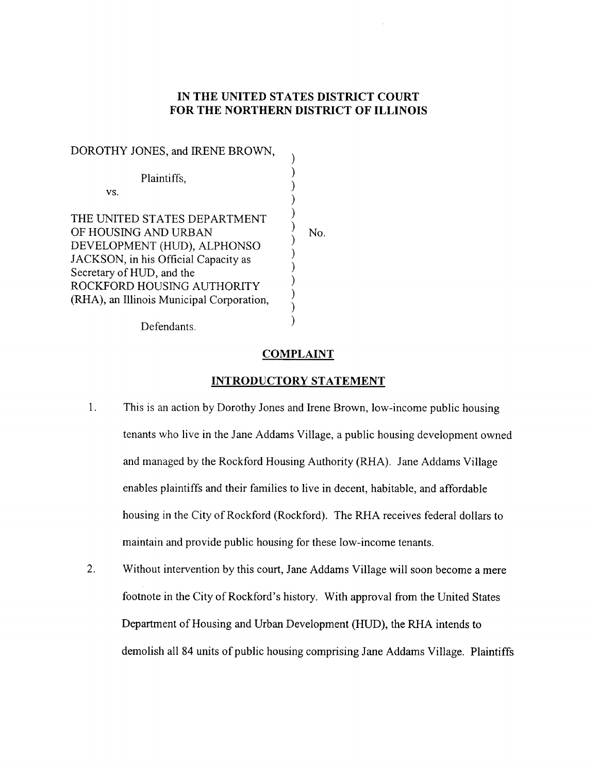# **IN THE UNITED STATES DISTRICT COURT FOR THE NORTHERN DISTRICT OF ILLINOIS**

| DOROTHY JONES, and IRENE BROWN,                                                                                                                                                                                                     |  |
|-------------------------------------------------------------------------------------------------------------------------------------------------------------------------------------------------------------------------------------|--|
| Plaintiffs,<br>VS.                                                                                                                                                                                                                  |  |
| THE UNITED STATES DEPARTMENT<br>OF HOUSING AND URBAN<br>DEVELOPMENT (HUD), ALPHONSO<br>JACKSON, in his Official Capacity as<br>Secretary of HUD, and the<br>ROCKFORD HOUSING AUTHORITY<br>(RHA), an Illinois Municipal Corporation, |  |
| Defendants.                                                                                                                                                                                                                         |  |

**COMPLAINT**

### **INTRODUCTORY STATEMENT**

- 1. This is an action by Dorothy Jones and Irene Brown, low-income public housing tenants who live in the Jane Addams Village, a public housing development owned and managed by the Rockford Housing Authority (RHA). Jane Addams Village enables plaintiffs and their families to live in decent, habitable, and affordable housing in the City of Rockford (Rockford). The RHA receives federal dollars to maintain and provide public housing for these low-income tenants.
- 2. Without intervention by this court, Jane Addams Village will soon become a mere footnote in the City of Rockford's history. With approval from the United States Department of Housing and Urban Development (HUD), the RHA intends to demolish all 84 units of public housing comprising Jane Addams Village. Plaintiffs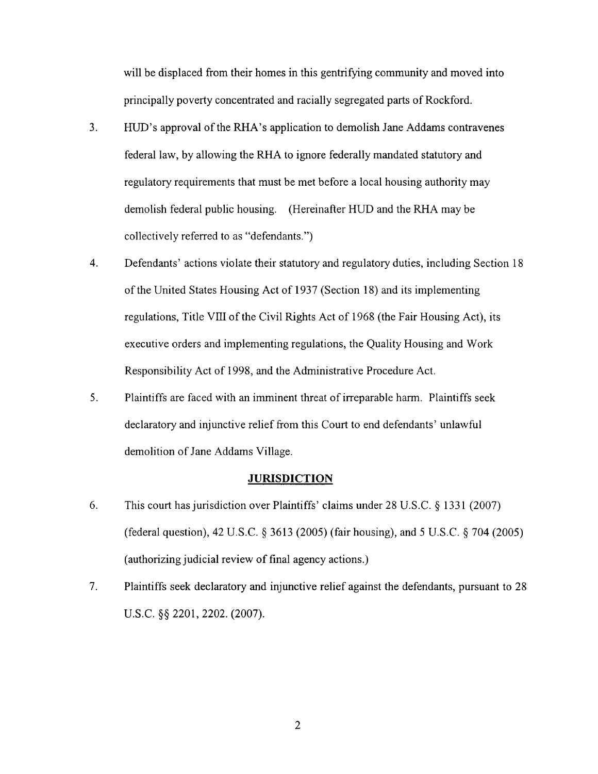will be displaced from their homes in this gentrifying community and moved into principally poverty concentrated and racially segregated parts of Rockford.

- 3. HUD's approval of the RHA's application to demolish Jane Addams contravenes federal law, by allowing the RHA to ignore federally mandated statutory and regulatory requirements that must be met before a local housing authority may demolish federal public housing. (Hereinafter HUD and the RHA may be collectively referred to as "defendants.")
- 4. Defendants' actions violate their statutory and regulatory duties, including Section 18 of the United States Housing Act of 1937 (Section 18) and its implementing regulations, Title VIII of the Civil Rights Act of 1968 (the Fair Housing Act), its executive orders and implementing regulations, the Quality Housing and Work Responsibility Act of 1998, and the Administrative Procedure Act.
- 5. Plaintiffs are faced with an imminent threat of irreparable harm. Plaintiffs seek declaratory and injunctive relief from this Court to end defendants' unlawful demolition of Jane Addams Village.

## **JURISDICTION**

- 6. This court has jurisdiction over Plaintiffs' claims under 28 U.S.C. § 1331 (2007) (federal question), 42 U.S.C. § 3613 (2005) (fair housing), and 5 U.S.C. § 704 (2005) (authorizing judicial review of final agency actions.)
- 7. Plaintiffs seek declaratory and injunctive relief against the defendants, pursuant to 28 U.S.C. §§ 2201, 2202. (2007).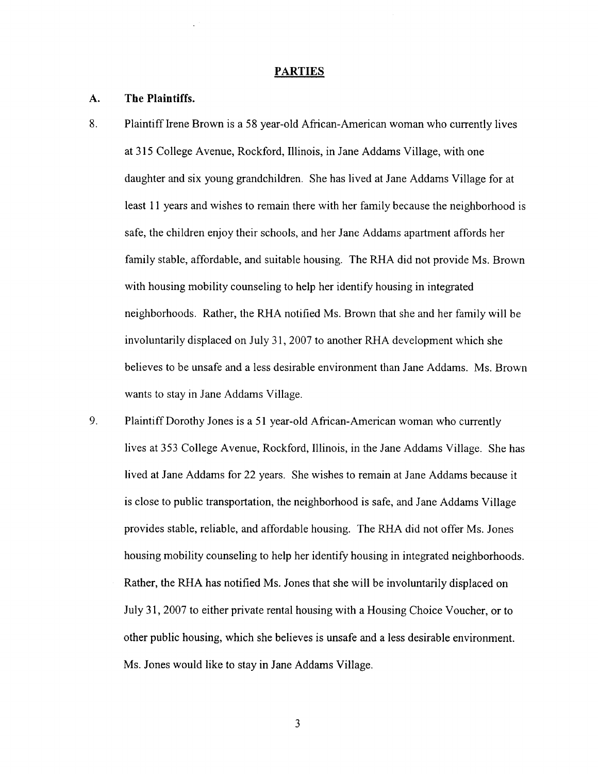#### **PARTIES**

### A. **The Plaintiffs.**

- 8. Plaintiff Irene Brown is a 58 year-old African-American woman who currently lives at 315 College Avenue, Rockford, Illinois, in Jane Addams Village, with one daughter and six young grandchildren. She has lived at Jane Addams Village for at least 11 years and wishes to remain there with her family because the neighborhood is safe, the children enjoy their schools, and her Jane Addams apartment affords her family stable, affordable, and suitable housing. The RHA did not provide Ms. Brown with housing mobility counseling to help her identify housing in integrated neighborhoods. Rather, the RHA notified Ms. Brown that she and her family will be involuntarily displaced on July 31, 2007 to another RHA development which she believes to be unsafe and a less desirable environment than Jane Addams. Ms. Brown wants to stay in Jane Addams Village.
- 9. Plaintiff Dorothy Jones is a 51 year-old African-American woman who currently lives at 353 College Avenue, Rockford, Illinois, in the Jane Addams Village. She has lived at Jane Addams for 22 years. She wishes to remain at Jane Addams because it is close to public transportation, the neighborhood is safe, and Jane Addams Village provides stable, reliable, and affordable housing. The RHA did not offer Ms. Jones housing mobility counseling to help her identify housing in integrated neighborhoods. Rather, the RHA has notified Ms. Jones that she will be involuntarily displaced on July 31, 2007 to either private rental housing with a Housing Choice Voucher, or to other public housing, which she believes is unsafe and a less desirable environment. Ms. Jones would like to stay in Jane Addams Village.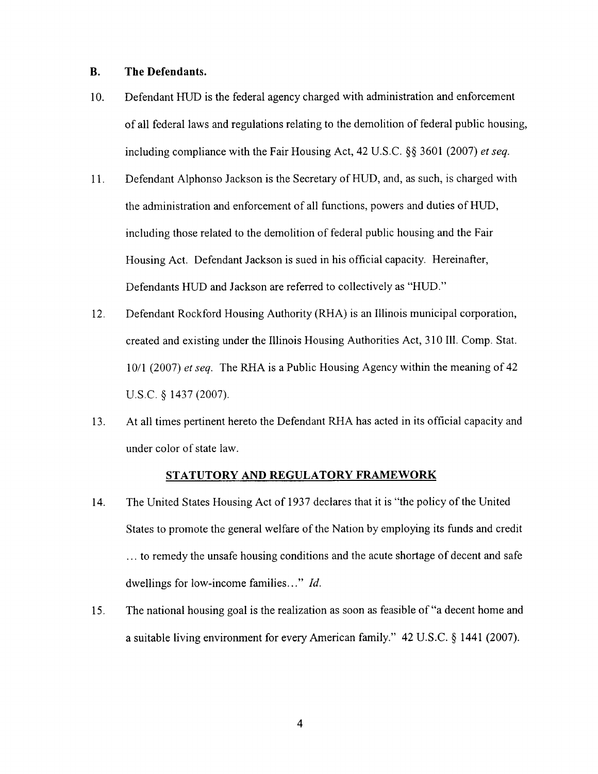### **B. The Defendants.**

- 10. Defendant HUD is the federal agency charged with administration and enforcement of all federal laws and regulations relating to the demolition of federal public housing, including compliance with the Fair Housing Act, 42 U.S.C. §§ 3601 (2007) *et seq.*
- 11. Defendant Alphonso Jackson is the Secretary of HUD, and, as such, is charged with the administration and enforcement of all functions, powers and duties of HUD, including those related to the demolition of federal public housing and the Fair Housing Act. Defendant Jackson is sued in his official capacity. Hereinafter, Defendants HUD and Jackson are referred to collectively as "HUD."
- 12. Defendant Rockford Housing Authority (RHA) is an Illinois municipal corporation, created and existing under the Illinois Housing Authorities Act, 310 Ill. Comp. Stat. 10/1 (2007) *et seg.* The RHA is a Public Housing Agency within the meaning of 42 U.S.C. § 1437 (2007).
- 13. At all times pertinent hereto the Defendant RHA has acted in its official capacity and under color of state law.

## **STATUTORY AND REGULATORY FRAMEWORK**

- 14. The United States Housing Act of 1937 declares that it is "the policy of the United States to promote the general welfare of the Nation by employing its funds and credit ... to remedy the unsafe housing conditions and the acute shortage of decent and safe dwellings for low-income families..." *Id.*
- 15. The national housing goal is the realization as soon as feasible of "a decent home and a suitable living environment for every American family." 42 U.S.C. § 1441 (2007).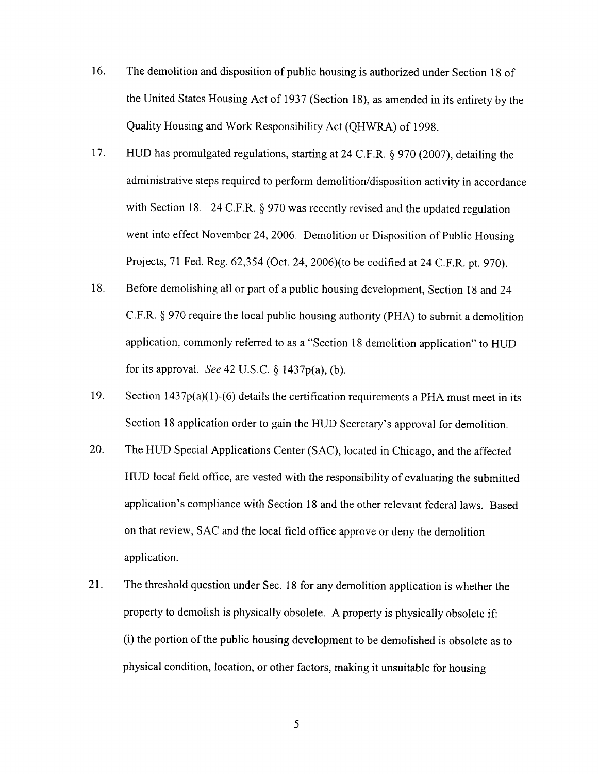- 16. The demolition and disposition of public housing is authorized under Section 18 of the United States Housing Act of 1937 (Section 18), as amended in its entirety by the Quality Housing and Work Responsibility Act (QHWRA) of 1998.
- 17. HUD has promulgated regulations, starting at 24 C.F.R. § 970 (2007), detailing the administrative steps required to perform demolition/disposition activity in accordance with Section 18. 24 C.F.R. § 970 was recently revised and the updated regulation went into effect November 24, 2006. Demolition or Disposition of Public Housing Projects, 71 Fed. Reg. 62,354 (Oct. 24, 2006)(to be codified at 24 C.F.R. pt. 970).
- 18. Before demolishing all or part of a public housing development, Section 18 and 24 C.F.R. § 970 require the local public housing authority (PHA) to submit a demolition application, commonly referred to as a "Section 18 demolition application" to HUD for its approval. *See* 42 U.S.C. § 1437p(a), (b).
- 19. Section 1437p(a)(1)-(6) details the certification requirements a PHA must meet in its Section 18 application order to gain the HUD Secretary's approval for demolition.
- 20. The HUD Special Applications Center (SAC), located in Chicago, and the affected HUD local field office, are vested with the responsibility of evaluating the submitted application's compliance with Section 18 and the other relevant federal laws. Based on that review, SAC and the local field office approve or deny the demolition application.
- 21. The threshold question under Sec. 18 for any demolition application is whether the property to demolish is physically obsolete. A property is physically obsolete if: (i) the portion of the public housing development to be demolished is obsolete as to physical condition, location, or other factors, making it unsuitable for housing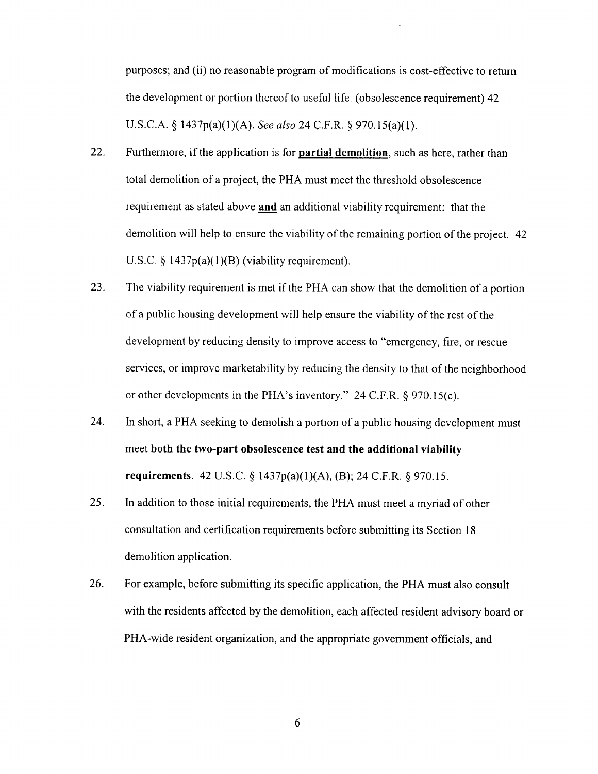purposes; and (ii) no reasonable program of modifications is cost-effective to return the development or portion thereof to useful life. (obsolescence requirement) 42 U.S.C.A. § 1437p(a)(1)(A). *See also* 24 C.F.R. § 970.15(a)(1).

- 22. Furthermore, if the application is for **partial demolition,** such as here, rather than total demolition of a project, the PHA must meet the threshold obsolescence requirement as stated above **and** an additional viability requirement: that the demolition will help to ensure the viability of the remaining portion of the project. 42 U.S.C.  $\S$  1437 $p(a)(1)(B)$  (viability requirement).
- 23. The viability requirement is met if the PHA can show that the demolition of a portion of a public housing development will help ensure the viability of the rest of the development by reducing density to improve access to "emergency, fire, or rescue services, or improve marketability by reducing the density to that of the neighborhood or other developments in the PHA's inventory." 24 C.F.R. § 970.15(c).
- 24. In short, a PHA seeking to demolish a portion of a public housing development must meet **both the two-part obsolescence test and the additional viability requirements.** 42 U.S.C. § 1437p(a)(1)(A), (B); 24 C.F.R. § 970.15.
- 25. In addition to those initial requirements, the PHA must meet a myriad of other consultation and certification requirements before submitting its Section 18 demolition application.
- 26. For example, before submitting its specific application, the PHA must also consult with the residents affected by the demolition, each affected resident advisory board or PHA-wide resident organization, and the appropriate government officials, and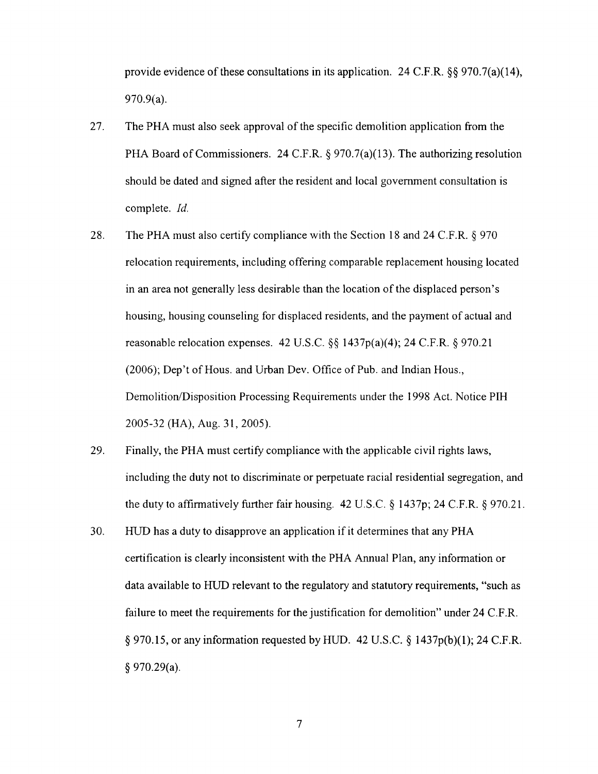provide evidence of these consultations in its application. 24 C.F.R. §§ 970.7(a)(14), 970.9(a).

- 27. The PHA must also seek approval of the specific demolition application from the PHA Board of Commissioners. 24 C.F.R. § 970.7(a)(13). The authorizing resolution should be dated and signed after the resident and local government consultation is complete. *Id.*
- 28. The PHA must also certify compliance with the Section 18 and 24 C.F.R. § 970 relocation requirements, including offering comparable replacement housing located in an area not generally less desirable than the location of the displaced person's housing, housing counseling for displaced residents, and the payment of actual and reasonable relocation expenses. 42 U.S.C. §§ 1437p(a)(4); 24 C.F.R. § 970.21 (2006); Dep't of Hous. and Urban Dev. Office of Pub. and Indian Hous., Demolition/Disposition Processing Requirements under the 1998 Act. Notice PIH 2005-32 (HA), Aug. 31, 2005).
- 29. Finally, the PHA must certify compliance with the applicable civil rights laws, including the duty not to discriminate or perpetuate racial residential segregation, and the duty to affirmatively further fair housing. 42 U.S.C. § 1437p; 24 C.F.R. § 970.21.
- 30. HUD has a duty to disapprove an application if it determines that any PHA certification is clearly inconsistent with the PHA Annual Plan, any information or data available to HUD relevant to the regulatory and statutory requirements, "such as failure to meet the requirements for the justification for demolition" under 24 C.F.R. § 970.15, or any information requested by HUD. 42 U.S.C. § 1437p(b)(1); 24 C.F.R. § 970.29(a).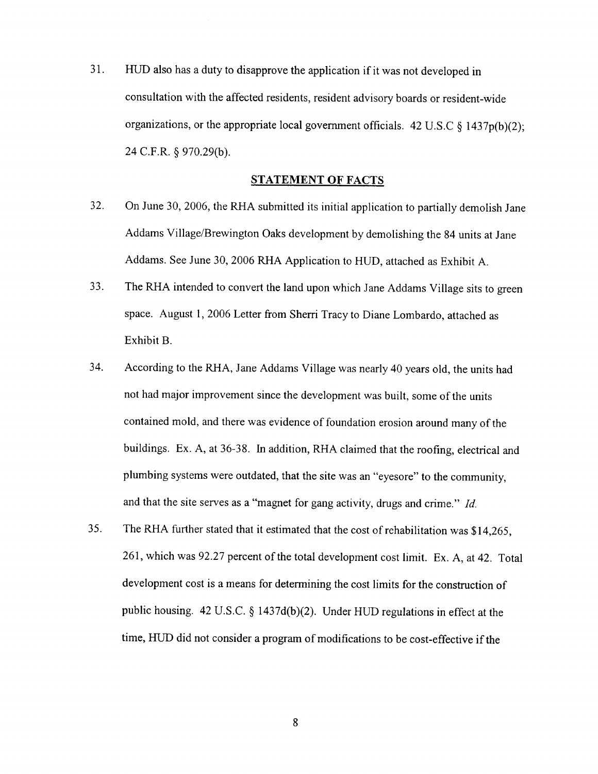31. HUD also has a duty to disapprove the application if it was not developed in consultation with the affected residents, resident advisory boards or resident-wide organizations, or the appropriate local government officials. 42 U.S.C  $\S$  1437p(b)(2); 24 C.F.R. § 970.29(b).

#### **STATEMENT OF FACTS**

- 32. On June 30, 2006, the RHA submitted its initial application to partially demolish Jane Addams Village/Brewington Oaks development by demolishing the 84 units at Jane Addams. See June 30, 2006 RHA Application to HUD, attached as Exhibit A.
- 33. The RHA intended to convert the land upon which Jane Addams Village sits to green space. August 1, 2006 Letter from Sherri Tracy to Diane Lombardo, attached as Exhibit B.
- 34. According to the RHA, Jane Addams Village was nearly 40 years old, the units had not had major improvement since the development was built, some of the units contained mold, and there was evidence of foundation erosion around many of the buildings. Ex. A, at 36-38. In addition, RHA claimed that the roofing, electrical and plumbing systems were outdated, that the site was an "eyesore" to the community, and that the site serves as a "magnet for gang activity, drugs and crime." *Id.*
- 35. The RHA further stated that it estimated that the cost of rehabilitation was \$14,265, 261, which was 92.27 percent of the total development cost limit. Ex. A, at 42. Total development cost is a means for determining the cost limits for the construction of public housing. 42 U.S.C. § 1437d(b)(2). Under HUD regulations in effect at the time, HUD did not consider a program of modifications to be cost-effective if the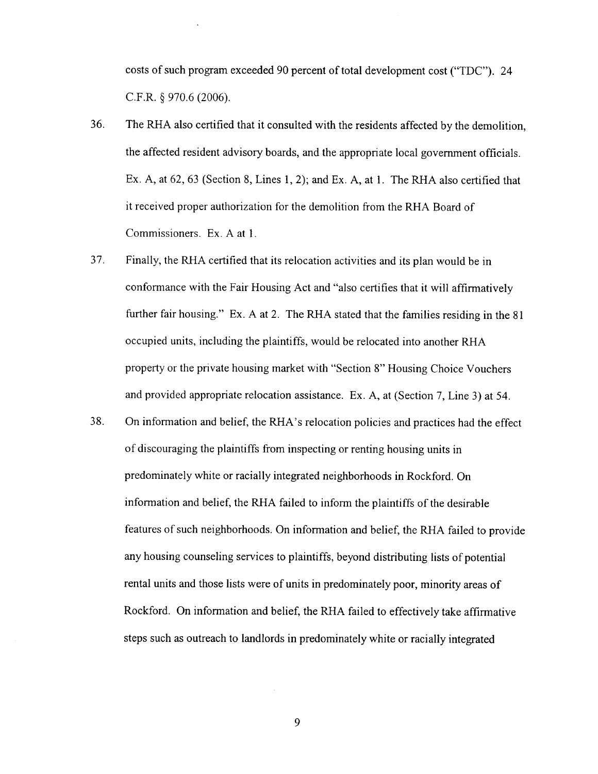costs of such program exceeded 90 percent of total development cost ("TDC"). 24 C.F.R. § 970.6 (2006).

- 36. The RHA also certified that it consulted with the residents affected by the demolition, the affected resident advisory boards, and the appropriate local government officials. Ex. A, at 62, 63 (Section 8, Lines 1, 2); and Ex. A, at 1. The RHA also certified that it received proper authorization for the demolition from the RHA Board of Commissioners. Ex. A at 1.
- 37. Finally, the RHA certified that its relocation activities and its plan would be in conformance with the Fair Housing Act and "also certifies that it will affirmatively further fair housing." Ex. A at 2. The RHA stated that the families residing in the 81 occupied units, including the plaintiffs, would be relocated into another RHA property or the private housing market with "Section 8" Housing Choice Vouchers and provided appropriate relocation assistance. Ex. A, at (Section 7, Line 3) at 54.
- 38. On information and belief, the RHA's relocation policies and practices had the effect of discouraging the plaintiffs from inspecting or renting housing units in predominately white or racially integrated neighborhoods in Rockford. On information and belief, the RHA failed to inform the plaintiffs of the desirable features of such neighborhoods. On information and belief, the RHA failed to provide any housing counseling services to plaintiffs, beyond distributing lists of potential rental units and those lists were of units in predominately poor, minority areas of Rockford. On information and belief, the RHA failed to effectively take affirmative steps such as outreach to landlords in predominately white or racially integrated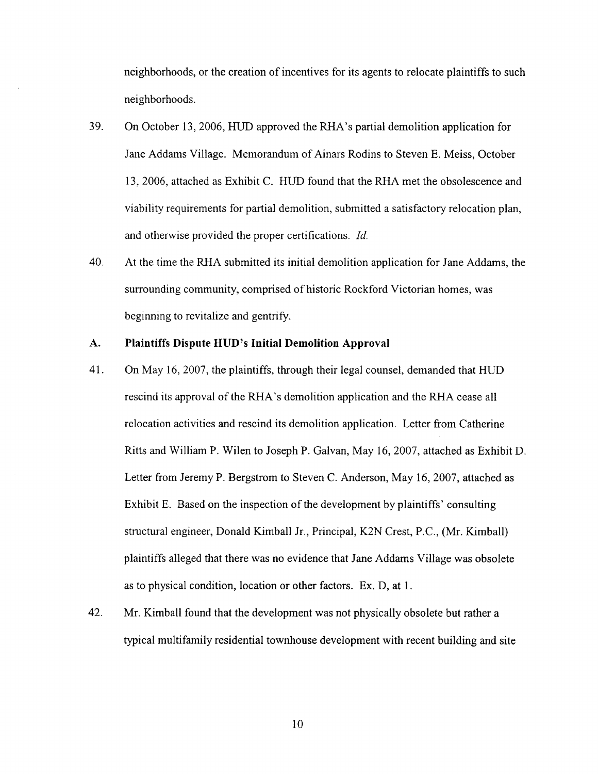neighborhoods, or the creation of incentives for its agents to relocate plaintiffs to such neighborhoods.

- 39. On October 13, 2006, HUD approved the RHA's partial demolition application for Jane Addams Village. Memorandum of Ainars Rodins to Steven E. Meiss, October 13, 2006, attached as Exhibit C. HUD found that the RHA met the obsolescence and viability requirements for partial demolition, submitted a satisfactory relocation plan, and otherwise provided the proper certifications. *Id.*
- 40. At the time the RHA submitted its initial demolition application for Jane Addams, the surrounding community, comprised of historic Rockford Victorian homes, was beginning to revitalize and gentrify.

### A. **Plaintiffs Dispute HUD's Initial Demolition Approval**

- 41. On May 16, 2007, the plaintiffs, through their legal counsel, demanded that HUD rescind its approval of the RHA's demolition application and the RHA cease all relocation activities and rescind its demolition application. Letter from Catherine Ritts and William P. Wilen to Joseph P. Galvan, May 16, 2007, attached as Exhibit D. Letter from Jeremy P. Bergstrom to Steven C. Anderson, May 16, 2007, attached as Exhibit E. Based on the inspection of the development by plaintiffs' consulting structural engineer, Donald Kimball Jr., Principal, K2N Crest, P.C., (Mr. Kimball) plaintiffs alleged that there was no evidence that Jane Addams Village was obsolete as to physical condition, location or other factors. Ex. D, at 1.
- 42. Mr. Kimball found that the development was not physically obsolete but rather a typical multifamily residential townhouse development with recent building and site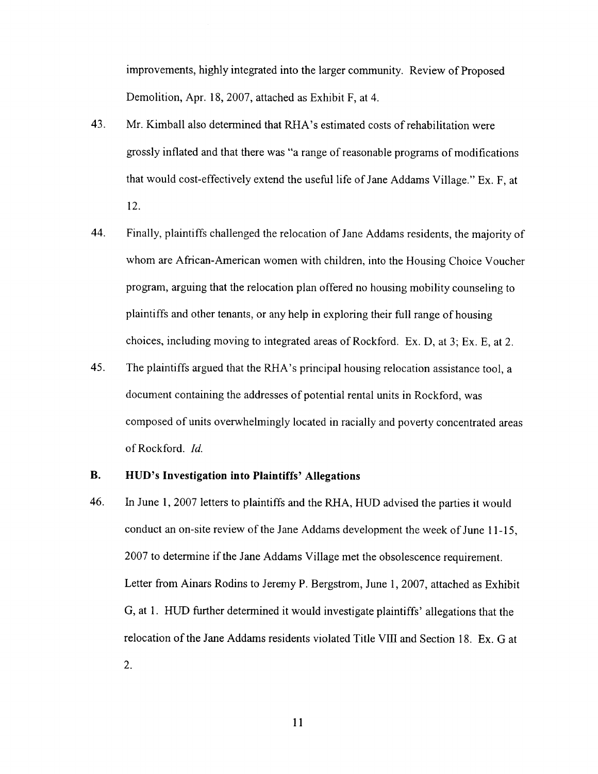improvements, highly integrated into the larger community. Review of Proposed Demolition, Apr. 18, 2007, attached as Exhibit F, at 4.

- 43. Mr. Kimball also determined that RHA's estimated costs of rehabilitation were grossly inflated and that there was "a range of reasonable programs of modifications that would cost-effectively extend the useful life of Jane Addams Village." Ex. F, at 12.
- 44. Finally, plaintiffs challenged the relocation of Jane Addams residents, the majority of whom are African-American women with children, into the Housing Choice Voucher program, arguing that the relocation plan offered no housing mobility counseling to plaintiffs and other tenants, or any help in exploring their full range of housing choices, including moving to integrated areas of Rockford. Ex. D, at 3; Ex. E, at 2.
- 45. The plaintiffs argued that the RHA's principal housing relocation assistance tool, a document containing the addresses of potential rental units in Rockford, was composed of units overwhelmingly located in racially and poverty concentrated areas of Rockford. *Id.*

# **B. HUD's Investigation into Plaintiffs' Allegations**

46. In June 1, 2007 letters to plaintiffs and the RHA, HUD advised the parties it would conduct an on-site review of the Jane Addams development the week of June 11-15, 2007 to determine if the Jane Addams Village met the obsolescence requirement. Letter from Ainars Rodins to Jeremy P. Bergstrom, June 1, 2007, attached as Exhibit G, at 1. HUD further determined it would investigate plaintiffs' allegations that the relocation of the Jane Addams residents violated Title VIII and Section 18. Ex. G at 2.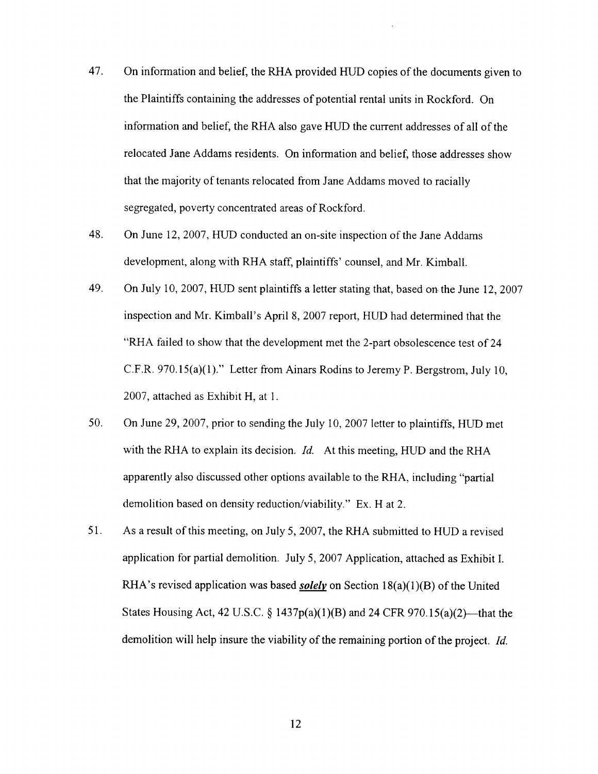- 47. On information and belief, the RHA provided HUD copies of the documents given to the Plaintiffs containing the addresses of potential rental units in Rockford. On information and belief, the RHA also gave HUD the current addresses of all of the relocated Jane Addams residents. On information and belief, those addresses show that the majority of tenants relocated from Jane Addams moved to racially segregated, poverty concentrated areas of Rockford.
- 48. On June 12, 2007, HUD conducted an on-site inspection of the Jane Addams development, along with RHA staff, plaintiffs' counsel, and Mr. Kimball.
- 49. On July 10, 2007, HUD sent plaintiffs a letter stating that, based on the June 12, 2007 inspection and Mr. Kimball's April 8, 2007 report, HUD had determined that the "RHA failed to show that the development met the 2-part obsolescence test of 24 C.F.R. 970.15(a)(1)." Letter from Ainars Rodins to Jeremy P. Bergstrom, July 10, 2007, attached as Exhibit H, at I.
- 50. On June 29, 2007, prior to sending the July 10, 2007 letter to plaintiffs, HUD met with the RHA to explain its decision. *Id.* At this meeting, HUD and the RHA apparently also discussed other options available to the RHA, including "partial demolition based on density reduction/viability." Ex. H at 2.
- 51. As a result of this meeting, on July 5, 2007, the RHA submitted to HUD a revised application for partial demolition. July 5, 2007 Application, attached as Exhibit I. RHA's revised application was based *solely* on Section 18(a)(1)(B) of the United States Housing Act, 42 U.S.C. § 1437p(a)(1)(B) and 24 CFR 970.15(a)(2)—that the demolition will help insure the viability of the remaining portion of the project. *Id.*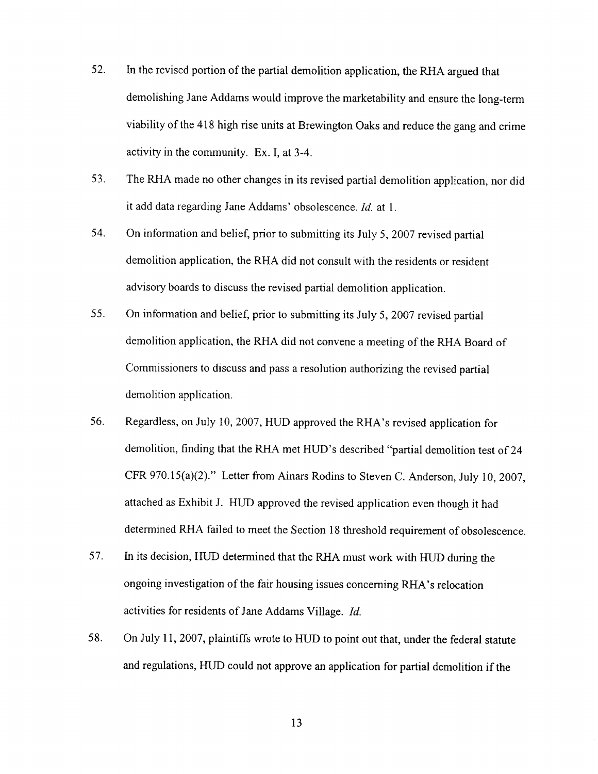- 52. In the revised portion of the partial demolition application, the RHA argued that demolishing Jane Addams would improve the marketability and ensure the long-term viability of the 418 high rise units at Brewington Oaks and reduce the gang and crime activity in the community. Ex. I, at 3-4.
- 53. The RHA made no other changes in its revised partial demolition application, nor did it add data regarding Jane Addams' obsolescence. *Id.* at 1.
- 54. On information and belief, prior to submitting its July 5, 2007 revised partial demolition application, the RHA did not consult with the residents or resident advisory boards to discuss the revised partial demolition application.
- 55. On information and belief, prior to submitting its July 5, 2007 revised partial demolition application, the RHA did not convene a meeting of the RHA Board of Commissioners to discuss and pass a resolution authorizing the revised partial demolition application.
- 56. Regardless, on July 10, 2007, HUD approved the RHA's revised application for demolition, finding that the RHA met HUD's described "partial demolition test of 24 CFR 970.15(a)(2)." Letter from Ainars Rodins to Steven C. Anderson, July 10, 2007, attached as Exhibit J. HUD approved the revised application even though it had determined RHA failed to meet the Section 18 threshold requirement of obsolescence.
- 57. In its decision, HUD determined that the RHA must work with HUD during the ongoing investigation of the fair housing issues concerning RHA's relocation activities for residents of Jane Addams Village. *Id.*
- 58. On July 11, 2007, plaintiffs wrote to HUD to point out that, under the federal statute and regulations, HUD could not approve an application for partial demolition if the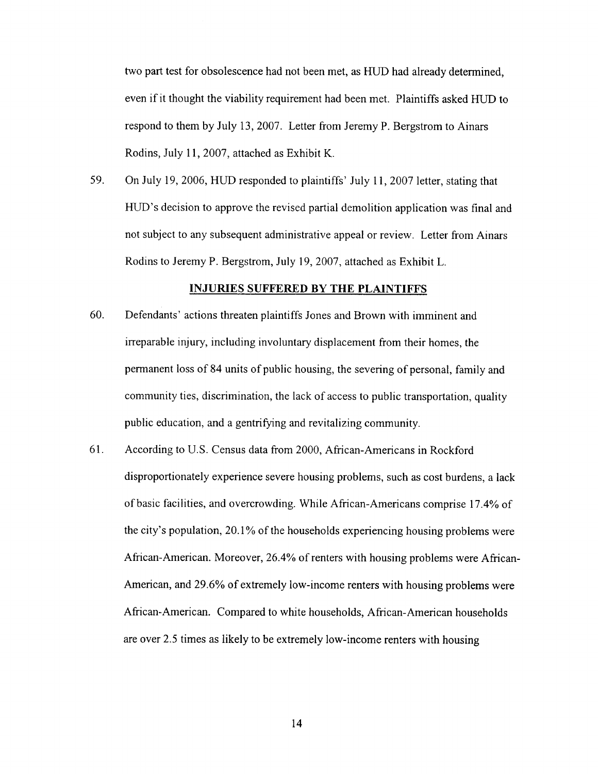two part test for obsolescence had not been met, as HUD had already determined, even if it thought the viability requirement had been met. Plaintiffs asked HUD to respond to them by July 13, 2007. Letter from Jeremy P. Bergstrom to Ainars Rodins, July 11, 2007, attached as Exhibit K.

59. On July 19, 2006, HUD responded to plaintiffs' July 11, 2007 letter, stating that HUD's decision to approve the revised partial demolition application was final and not subject to any subsequent administrative appeal or review. Letter from Ainars Rodins to Jeremy P. Bergstrom, July 19, 2007, attached as Exhibit L.

#### **INJURIES SUFFERED BY THE PLAINTIFFS**

- 60. Defendants' actions threaten plaintiffs Jones and Brown with imminent and irreparable injury, including involuntary displacement from their homes, the permanent loss of 84 units of public housing, the severing of personal, family and community ties, discrimination, the lack of access to public transportation, quality public education, and a gentrifying and revitalizing community.
- 61. According to U.S. Census data from 2000, African-Americans in Rockford disproportionately experience severe housing problems, such as cost burdens, a lack of basic facilities, and overcrowding. While African-Americans comprise 17.4% of the city's population, 20.1% of the households experiencing housing problems were African-American. Moreover, 26.4% of renters with housing problems were African-American, and 29.6% of extremely low-income renters with housing problems were African-American. Compared to white households, African-American households are over 2.5 times as likely to be extremely low-income renters with housing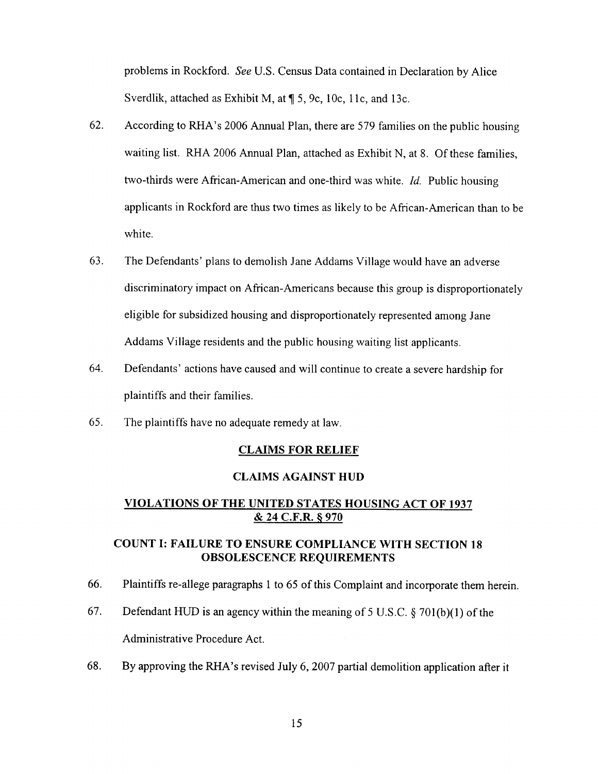problems in Rockford. *See* U.S. Census Data contained in Declaration by Alice Sverdlik, attached as Exhibit M, at  $\P$  5, 9c, 10c, 11c, and 13c.

- 62. According to RHA's 2006 Annual Plan, there are 579 families on the public housing waiting list. RHA 2006 Annual Plan, attached as Exhibit N, at 8. Of these families, two-thirds were African-American and one-third was white. *Id.* Public housing applicants in Rockford are thus two times as likely to be African-American than to be white.
- 63. The Defendants' plans to demolish Jane Addams Village would have an adverse discriminatory impact on African-Americans because this group is disproportionately eligible for subsidized housing and disproportionately represented among Jane Addams Village residents and the public housing waiting list applicants.
- 64. Defendants' actions have caused and will continue to create a severe hardship for plaintiffs and their families.
- 65. The plaintiffs have no adequate remedy at law.

## **CLAIMS FOR RELIEF**

### **CLAIMS AGAINST HUD**

# **VIOLATIONS OF THE UNITED STATES HOUSING ACT OF 1937** & **24 C.F.R. § 970**

# **COUNT I: FAILURE TO ENSURE COMPLIANCE WITH SECTION 18 OBSOLESCENCE REQUIREMENTS**

- 66. Plaintiffs re-allege paragraphs 1 to 65 of this Complaint and incorporate them herein.
- 67. Defendant HUD is an agency within the meaning of 5 U.S.C. § 701(b)(1) of the Administrative Procedure Act.
- 68. By approving the RHA's revised July 6, 2007 partial demolition application after it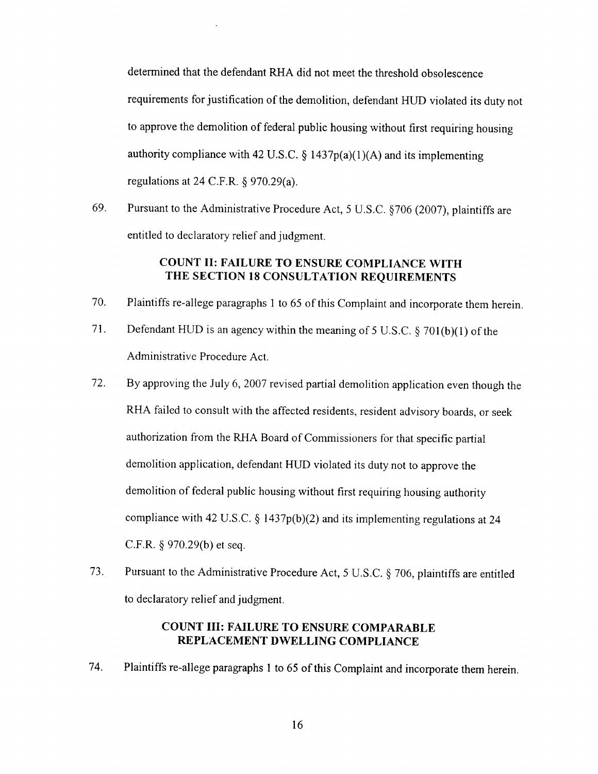determined that the defendant RHA did not meet the threshold obsolescence requirements for justification of the demolition, defendant HUD violated its duty not to approve the demolition of federal public housing without first requiring housing authority compliance with 42 U.S.C. § 1437 $p(a)(1)(A)$  and its implementing regulations at 24 C.F.R.  $\S$  970.29(a).

69. Pursuant to the Administrative Procedure Act, 5 U.S.C. §706 (2007), plaintiffs are entitled to declaratory relief and judgment.

# **COUNT II: FAILURE TO ENSURE COMPLIANCE WITH THE SECTION 18 CONSULTATION REQUIREMENTS**

- 70. Plaintiffs re-allege paragraphs 1 to 65 of this Complaint and incorporate them herein.
- 71. Defendant HUD is an agency within the meaning of 5 U.S.C. § 701(b)(1) of the Administrative Procedure Act.
- 72. By approving the July 6, 2007 revised partial demolition application even though the RHA failed to consult with the affected residents, resident advisory boards, or seek authorization from the RHA Board of Commissioners for that specific partial demolition application, defendant HUD violated its duty not to approve the demolition of federal public housing without first requiring housing authority compliance with 42 U.S.C.  $\S$  1437p(b)(2) and its implementing regulations at 24 C.F.R. § 970.29(b) et seq.
- 73. Pursuant to the Administrative Procedure Act, 5 U.S.C. § 706, plaintiffs are entitled to declaratory relief and judgment.

## **COUNT III: FAILURE TO ENSURE COMPARABLE REPLACEMENT DWELLING COMPLIANCE**

74. Plaintiffs re-allege paragraphs 1 to 65 of this Complaint and incorporate them herein.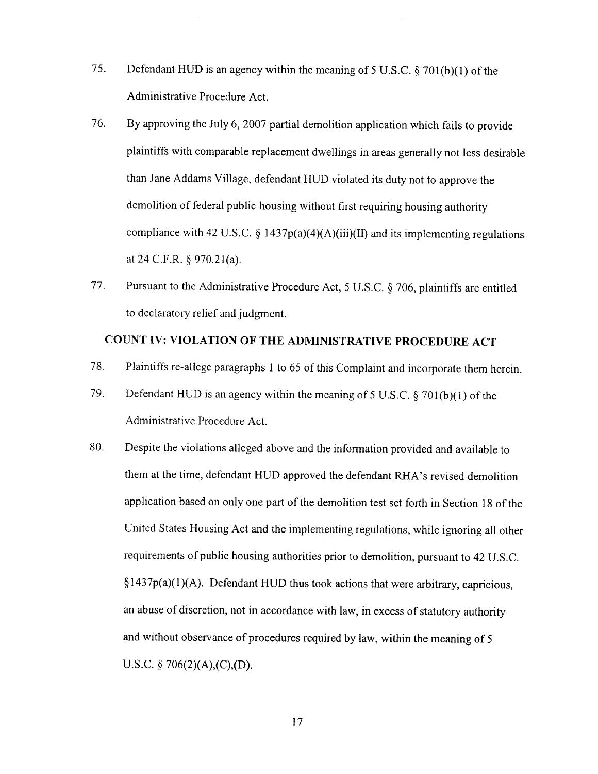- 75. Defendant HUD is an agency within the meaning of 5 U.S.C. § 701(b)(1) of the Administrative Procedure Act.
- 76. By approving the July 6, 2007 partial demolition application which fails to provide plaintiffs with comparable replacement dwellings in areas generally not less desirable than Jane Addams Village, defendant HUD violated its duty not to approve the demolition of federal public housing without first requiring housing authority compliance with 42 U.S.C. § 1437 $p(a)(4)(A)(iii)(II)$  and its implementing regulations at 24 C.F.R. § 970.21(a).
- 77. Pursuant to the Administrative Procedure Act, 5 U.S.C. § 706, plaintiffs are entitled to declaratory relief and judgment.

# **COUNT IV: VIOLATION OF THE ADMINISTRATIVE PROCEDURE ACT**

- 78. Plaintiffs re-allege paragraphs 1 to 65 of this Complaint and incorporate them herein.
- 79. Defendant HUD is an agency within the meaning of 5 U.S.C.  $\S 701(b)(1)$  of the Administrative Procedure Act.
- 80. Despite the violations alleged above and the information provided and available to them at the time, defendant HUD approved the defendant RHA's revised demolition application based on only one part of the demolition test set forth in Section 18 of the United States Housing Act and the implementing regulations, while ignoring all other requirements of public housing authorities prior to demolition, pursuant to 42 U.S.C.  $§1437p(a)(1)(A)$ . Defendant HUD thus took actions that were arbitrary, capricious, an abuse of discretion, not in accordance with law, in excess of statutory authority and without observance of procedures required by law, within the meaning of 5 U.S.C.  $\S$  706(2)(A),(C),(D).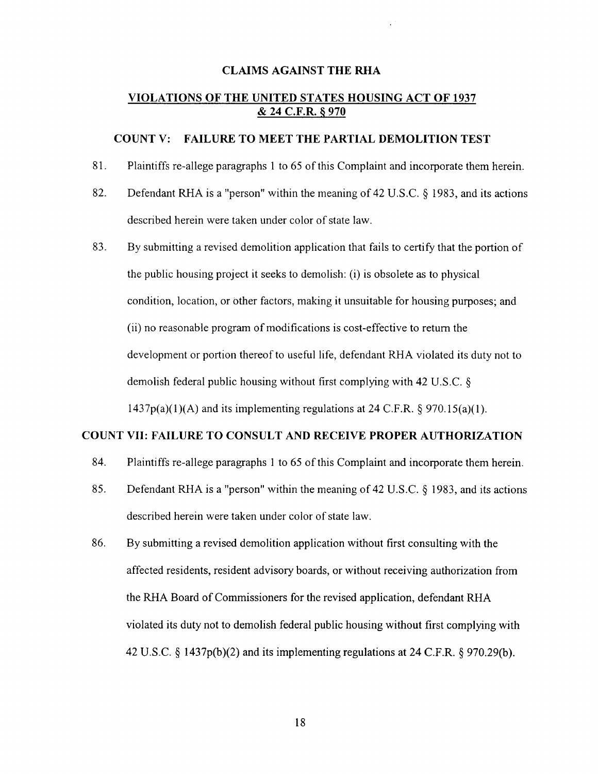### **CLAIMS AGAINST THE RHA**

# **VIOLATIONS OF THE UNITED STATES HOUSING ACT OF 1937** & **24 C.F.R. § 970**

### **COUNT V: FAILURE TO MEET THE PARTIAL DEMOLITION TEST**

- 81. Plaintiffs re-allege paragraphs 1 to 65 of this Complaint and incorporate them herein.
- 82. Defendant RHA is a "person" within the meaning of 42 U.S.C. § 1983, and its actions described herein were taken under color of state law.
- 83. By submitting a revised demolition application that fails to certify that the portion of the public housing project it seeks to demolish: (i) is obsolete as to physical condition, location, or other factors, making it unsuitable for housing purposes; and (ii) no reasonable program of modifications is cost-effective to return the development or portion thereof to useful life, defendant RHA violated its duty not to demolish federal public housing without first complying with 42 U.S.C. §  $1437p(a)(1)(A)$  and its implementing regulations at 24 C.F.R. § 970.15(a)(1).

## **COUNT VII: FAILURE TO CONSULT AND RECEIVE PROPER AUTHORIZATION**

- 84. Plaintiffs re-allege paragraphs 1 to 65 of this Complaint and incorporate them herein.
- 85. Defendant RHA is a "person" within the meaning of 42 U.S.C. § 1983, and its actions described herein were taken under color of state law.
- 86. By submitting a revised demolition application without first consulting with the affected residents, resident advisory boards, or without receiving authorization from the RHA Board of Commissioners for the revised application, defendant RHA violated its duty not to demolish federal public housing without first complying with 42 U.S.C.  $\S$  1437p(b)(2) and its implementing regulations at 24 C.F.R.  $\S$  970.29(b).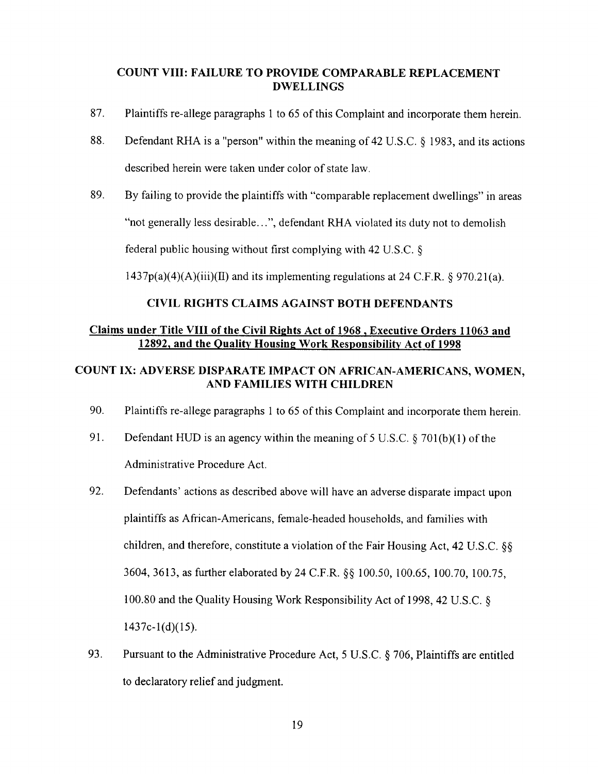# **COUNT VIII: FAILURE TO PROVIDE COMPARABLE REPLACEMENT DWELLINGS**

- 87. Plaintiffs re-allege paragraphs 1 to 65 of this Complaint and incorporate them herein.
- 88. Defendant RHA is a "person" within the meaning of 42 U.S.C. § 1983, and its actions described herein were taken under color of state law.
- 89. By failing to provide the plaintiffs with "comparable replacement dwellings" in areas "not generally less desirable...", defendant RHA violated its duty not to demolish federal public housing without first complying with 42 U.S.C. §

 $1437p(a)(A)(iii)(H)$  and its implementing regulations at 24 C.F.R. § 970.21(a).

# **CIVIL RIGHTS CLAIMS AGAINST BOTH DEFENDANTS**

# **Claims under Title VIII of the Civil Rights Act of 1968 , Executive Orders 11063 and 12892, and the Quality Housing Work Responsibility Act of 1998**

# **COUNT IX: ADVERSE DISPARATE IMPACT ON AFRICAN-AMERICANS, WOMEN, AND FAMILIES WITH CHILDREN**

- 90. Plaintiffs re-allege paragraphs 1 to 65 of this Complaint and incorporate them herein.
- 91. Defendant HUD is an agency within the meaning of 5 U.S.C.  $\S 701(b)(1)$  of the Administrative Procedure Act.
- 92. Defendants' actions as described above will have an adverse disparate impact upon plaintiffs as African-Americans, female-headed households, and families with children, and therefore, constitute a violation of the Fair Housing Act, 42 U.S.C. §§ 3604, 3613, as further elaborated by 24 C.F.R. §§ 100.50, 100.65, 100.70, 100.75, 100.80 and the Quality Housing Work Responsibility Act of 1998, 42 U.S.C. §  $1437c-1(d)(15)$ .
- 93. Pursuant to the Administrative Procedure Act, 5 U.S.C. § 706, Plaintiffs are entitled to declaratory relief and judgment.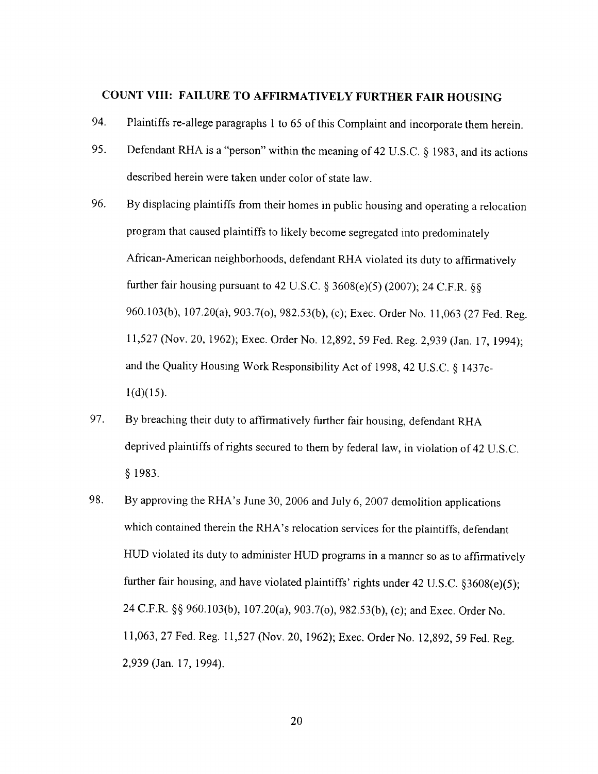## **COUNT VIII: FAILURE TO AFFIRMATIVELY FURTHER FAIR HOUSING**

- 94. Plaintiffs re-allege paragraphs 1 to 65 of this Complaint and incorporate them herein.
- 95. Defendant RHA is a "person" within the meaning of 42 U.S.C. § 1983, and its actions described herein were taken under color of state law.
- 96. By displacing plaintiffs from their homes in public housing and operating a relocation program that caused plaintiffs to likely become segregated into predominately African-American neighborhoods, defendant RHA violated its duty to affirmatively further fair housing pursuant to 42 U.S.C. § 3608(e)(5) (2007); 24 C.F.R. §§ 960.103(b), 107.20(a), 903.7(o), 982.53(b), (c); Exec. Order No. 11,063 (27 Fed. Reg. 11,527 (Nov. 20, 1962); Exec. Order No. 12,892, 59 Fed. Reg. 2,939 (Jan. 17, 1994); and the Quality Housing Work Responsibility Act of 1998, 42 U.S.C. § 1437c- $1(d)(15)$ .
- 97. By breaching their duty to affirmatively further fair housing, defendant RHA deprived plaintiffs of rights secured to them by federal law, in violation of 42 U.S.C. § 1983.
- 98. By approving the RHA's June 30, 2006 and July 6, 2007 demolition applications which contained therein the RHA's relocation services for the plaintiffs, defendant HUD violated its duty to administer HUD programs in a manner so as to affirmatively further fair housing, and have violated plaintiffs' rights under 42 U.S.C.  $§3608(e)(5);$ 24 C.F.R. §§ 960.103(b), 107.20(a), 903.7(o), 982.53(b), (c); and Exec. Order No. 11,063, 27 Fed. Reg. 11,527 (Nov. 20, 1962); Exec. Order No. 12,892, 59 Fed. Reg. 2,939 (Jan. 17, 1994).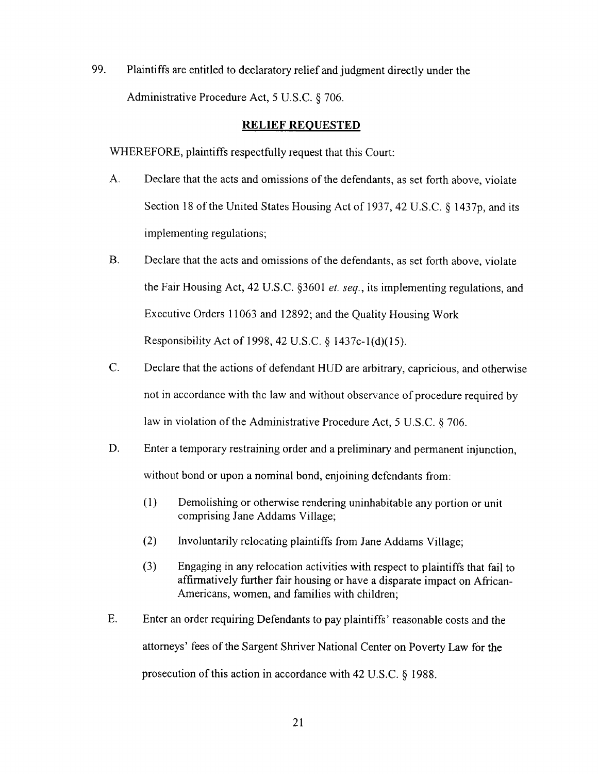99. Plaintiffs are entitled to declaratory relief and judgment directly under the Administrative Procedure Act, 5 U.S.C. § 706.

## **RELIEF REQUESTED**

WHEREFORE, plaintiffs respectfully request that this Court:

- A. Declare that the acts and omissions of the defendants, as set forth above, violate Section 18 of the United States Housing Act of 1937, 42 U.S.C. § 1437p, and its implementing regulations;
- B. Declare that the acts and omissions of the defendants, as set forth above, violate the Fair Housing Act, 42 U.S.C. §3601 *et. seq.,* its implementing regulations, and Executive Orders 11063 and 12892; and the Quality Housing Work Responsibility Act of 1998, 42 U.S.C. § 1437c-1(d)(15).
- C. Declare that the actions of defendant HUD are arbitrary, capricious, and otherwise not in accordance with the law and without observance of procedure required by law in violation of the Administrative Procedure Act, 5 U.S.C. § 706.
- D. Enter a temporary restraining order and a preliminary and permanent injunction, without bond or upon a nominal bond, enjoining defendants from:
	- (1) Demolishing or otherwise rendering uninhabitable any portion or unit comprising Jane Addams Village;
	- (2) Involuntarily relocating plaintiffs from Jane Addams Village;
	- (3) Engaging in any relocation activities with respect to plaintiffs that fail to affirmatively further fair housing or have a disparate impact on African-Americans, women, and families with children;
- E. Enter an order requiring Defendants to pay plaintiffs' reasonable costs and the attorneys' fees of the Sargent Shriver National Center on Poverty Law for the prosecution of this action in accordance with 42 U.S.C. § 1988.